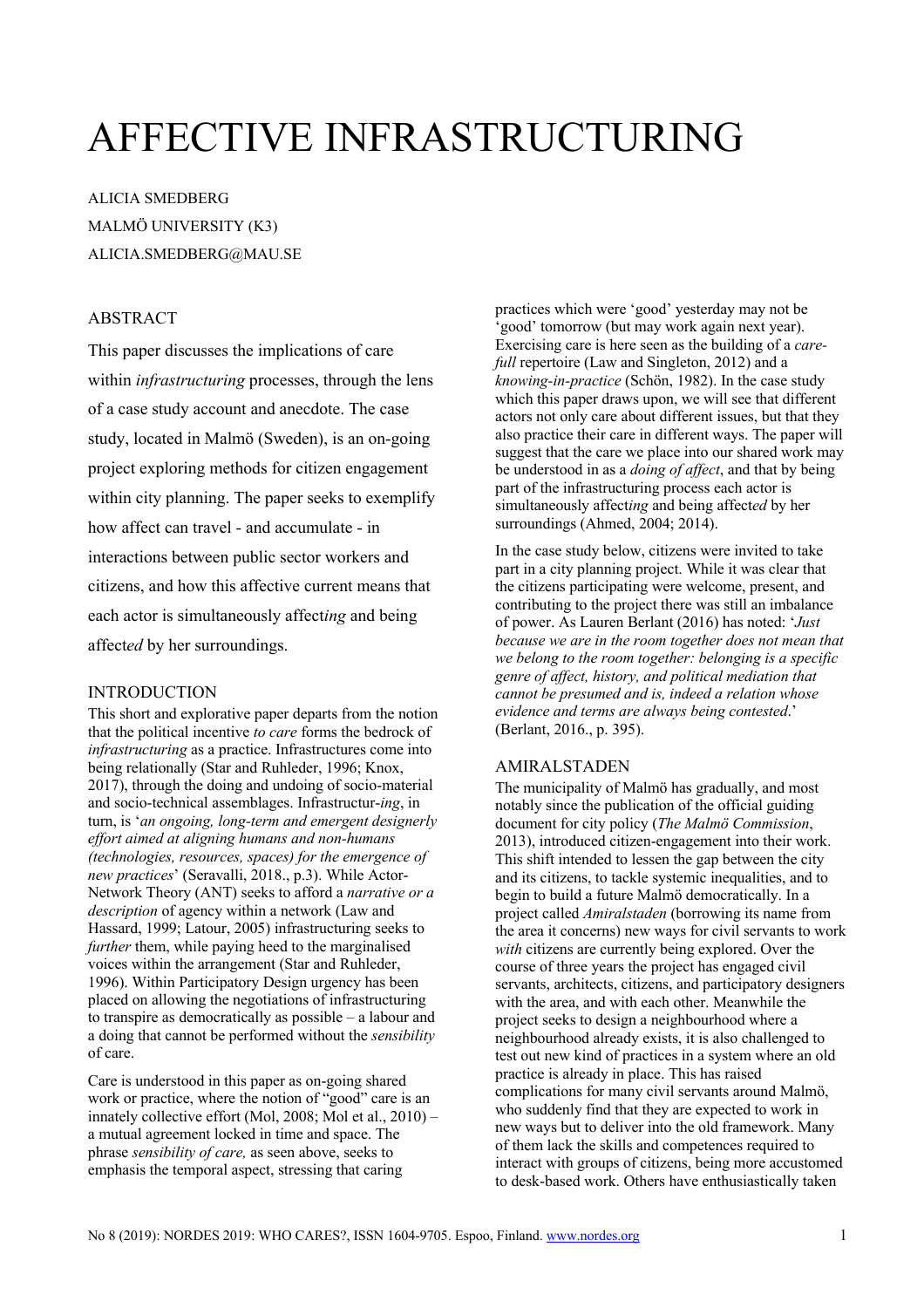# AFFECTIVE INFRASTRUCTURING

ALICIA SMEDBERG MALMÖ UNIVERSITY (K3) ALICIA.SMEDBERG@MAU.SE

## **ABSTRACT**

This paper discusses the implications of care within *infrastructuring* processes, through the lens of a case study account and anecdote. The case study, located in Malmö (Sweden), is an on-going project exploring methods for citizen engagement within city planning. The paper seeks to exemplify how affect can travel - and accumulate - in interactions between public sector workers and citizens, and how this affective current means that each actor is simultaneously affect*ing* and being affect*ed* by her surroundings.

#### INTRODUCTION

This short and explorative paper departs from the notion that the political incentive *to care* forms the bedrock of *infrastructuring* as a practice. Infrastructures come into being relationally (Star and Ruhleder, 1996; Knox, 2017), through the doing and undoing of socio-material and socio-technical assemblages. Infrastructur-*ing*, in turn, is '*an ongoing, long-term and emergent designerly effort aimed at aligning humans and non-humans (technologies, resources, spaces) for the emergence of new practices*' (Seravalli, 2018., p.3). While Actor-Network Theory (ANT) seeks to afford a *narrative or a description* of agency within a network (Law and Hassard, 1999; Latour, 2005) infrastructuring seeks to *further* them, while paying heed to the marginalised voices within the arrangement (Star and Ruhleder, 1996). Within Participatory Design urgency has been placed on allowing the negotiations of infrastructuring to transpire as democratically as possible – a labour and a doing that cannot be performed without the *sensibility* of care.

Care is understood in this paper as on-going shared work or practice, where the notion of "good" care is an innately collective effort (Mol, 2008; Mol et al., 2010) – a mutual agreement locked in time and space. The phrase *sensibility of care,* as seen above, seeks to emphasis the temporal aspect, stressing that caring

practices which were 'good' yesterday may not be 'good' tomorrow (but may work again next year). Exercising care is here seen as the building of a *carefull* repertoire (Law and Singleton, 2012) and a *knowing-in-practice* (Schön, 1982). In the case study which this paper draws upon, we will see that different actors not only care about different issues, but that they also practice their care in different ways. The paper will suggest that the care we place into our shared work may be understood in as a *doing of affect*, and that by being part of the infrastructuring process each actor is simultaneously affect*ing* and being affect*ed* by her surroundings (Ahmed, 2004; 2014).

In the case study below, citizens were invited to take part in a city planning project. While it was clear that the citizens participating were welcome, present, and contributing to the project there was still an imbalance of power. As Lauren Berlant (2016) has noted: '*Just because we are in the room together does not mean that we belong to the room together: belonging is a specific genre of affect, history, and political mediation that cannot be presumed and is, indeed a relation whose evidence and terms are always being contested*.' (Berlant, 2016., p. 395).

## AMIRALSTADEN

The municipality of Malmö has gradually, and most notably since the publication of the official guiding document for city policy (*The Malmö Commission*, 2013), introduced citizen-engagement into their work. This shift intended to lessen the gap between the city and its citizens, to tackle systemic inequalities, and to begin to build a future Malmö democratically. In a project called *Amiralstaden* (borrowing its name from the area it concerns) new ways for civil servants to work *with* citizens are currently being explored. Over the course of three years the project has engaged civil servants, architects, citizens, and participatory designers with the area, and with each other. Meanwhile the project seeks to design a neighbourhood where a neighbourhood already exists, it is also challenged to test out new kind of practices in a system where an old practice is already in place. This has raised complications for many civil servants around Malmö, who suddenly find that they are expected to work in new ways but to deliver into the old framework. Many of them lack the skills and competences required to interact with groups of citizens, being more accustomed to desk-based work. Others have enthusiastically taken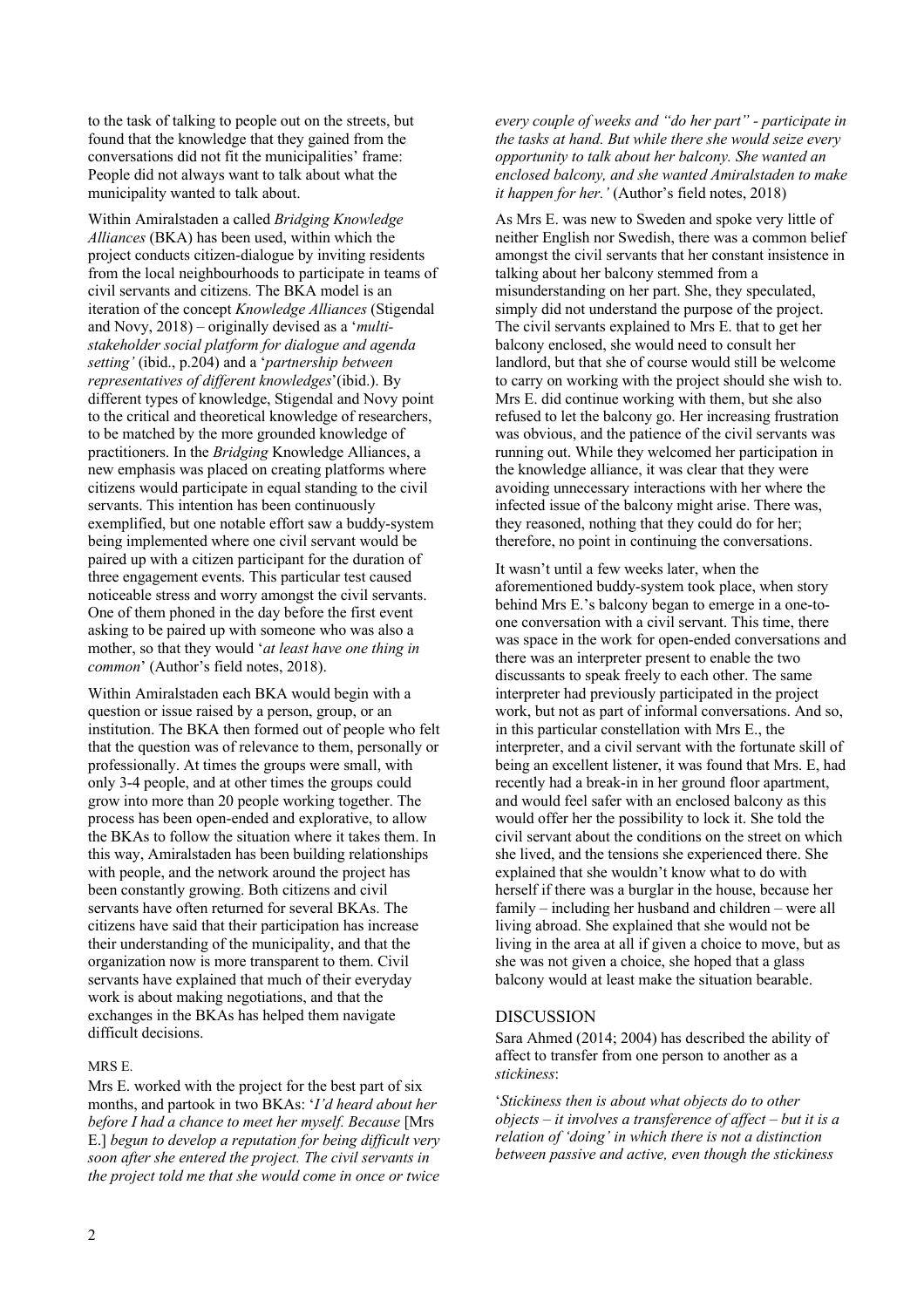to the task of talking to people out on the streets, but found that the knowledge that they gained from the conversations did not fit the municipalities' frame: People did not always want to talk about what the municipality wanted to talk about.

Within Amiralstaden a called *Bridging Knowledge Alliances* (BKA) has been used, within which the project conducts citizen-dialogue by inviting residents from the local neighbourhoods to participate in teams of civil servants and citizens. The BKA model is an iteration of the concept *Knowledge Alliances* (Stigendal and Novy, 2018) – originally devised as a '*multistakeholder social platform for dialogue and agenda setting'* (ibid., p.204) and a '*partnership between representatives of different knowledges*'(ibid.). By different types of knowledge, Stigendal and Novy point to the critical and theoretical knowledge of researchers, to be matched by the more grounded knowledge of practitioners. In the *Bridging* Knowledge Alliances, a new emphasis was placed on creating platforms where citizens would participate in equal standing to the civil servants. This intention has been continuously exemplified, but one notable effort saw a buddy-system being implemented where one civil servant would be paired up with a citizen participant for the duration of three engagement events. This particular test caused noticeable stress and worry amongst the civil servants. One of them phoned in the day before the first event asking to be paired up with someone who was also a mother, so that they would '*at least have one thing in common*' (Author's field notes, 2018).

Within Amiralstaden each BKA would begin with a question or issue raised by a person, group, or an institution. The BKA then formed out of people who felt that the question was of relevance to them, personally or professionally. At times the groups were small, with only 3-4 people, and at other times the groups could grow into more than 20 people working together. The process has been open-ended and explorative, to allow the BKAs to follow the situation where it takes them. In this way, Amiralstaden has been building relationships with people, and the network around the project has been constantly growing. Both citizens and civil servants have often returned for several BKAs. The citizens have said that their participation has increase their understanding of the municipality, and that the organization now is more transparent to them. Civil servants have explained that much of their everyday work is about making negotiations, and that the exchanges in the BKAs has helped them navigate difficult decisions.

## MRS E.

Mrs E. worked with the project for the best part of six months, and partook in two BKAs: '*I'd heard about her before I had a chance to meet her myself. Because* [Mrs E.] *begun to develop a reputation for being difficult very soon after she entered the project. The civil servants in the project told me that she would come in once or twice* 

*every couple of weeks and "do her part" - participate in the tasks at hand. But while there she would seize every opportunity to talk about her balcony. She wanted an enclosed balcony, and she wanted Amiralstaden to make it happen for her.'* (Author's field notes, 2018)

As Mrs E. was new to Sweden and spoke very little of neither English nor Swedish, there was a common belief amongst the civil servants that her constant insistence in talking about her balcony stemmed from a misunderstanding on her part. She, they speculated, simply did not understand the purpose of the project. The civil servants explained to Mrs E. that to get her balcony enclosed, she would need to consult her landlord, but that she of course would still be welcome to carry on working with the project should she wish to. Mrs E. did continue working with them, but she also refused to let the balcony go. Her increasing frustration was obvious, and the patience of the civil servants was running out. While they welcomed her participation in the knowledge alliance, it was clear that they were avoiding unnecessary interactions with her where the infected issue of the balcony might arise. There was, they reasoned, nothing that they could do for her; therefore, no point in continuing the conversations.

It wasn't until a few weeks later, when the aforementioned buddy-system took place, when story behind Mrs E.'s balcony began to emerge in a one-toone conversation with a civil servant. This time, there was space in the work for open-ended conversations and there was an interpreter present to enable the two discussants to speak freely to each other. The same interpreter had previously participated in the project work, but not as part of informal conversations. And so, in this particular constellation with Mrs E., the interpreter, and a civil servant with the fortunate skill of being an excellent listener, it was found that Mrs. E, had recently had a break-in in her ground floor apartment, and would feel safer with an enclosed balcony as this would offer her the possibility to lock it. She told the civil servant about the conditions on the street on which she lived, and the tensions she experienced there. She explained that she wouldn't know what to do with herself if there was a burglar in the house, because her family – including her husband and children – were all living abroad. She explained that she would not be living in the area at all if given a choice to move, but as she was not given a choice, she hoped that a glass balcony would at least make the situation bearable.

#### DISCUSSION

Sara Ahmed (2014; 2004) has described the ability of affect to transfer from one person to another as a *stickiness*:

'*Stickiness then is about what objects do to other objects – it involves a transference of affect – but it is a relation of 'doing' in which there is not a distinction between passive and active, even though the stickiness*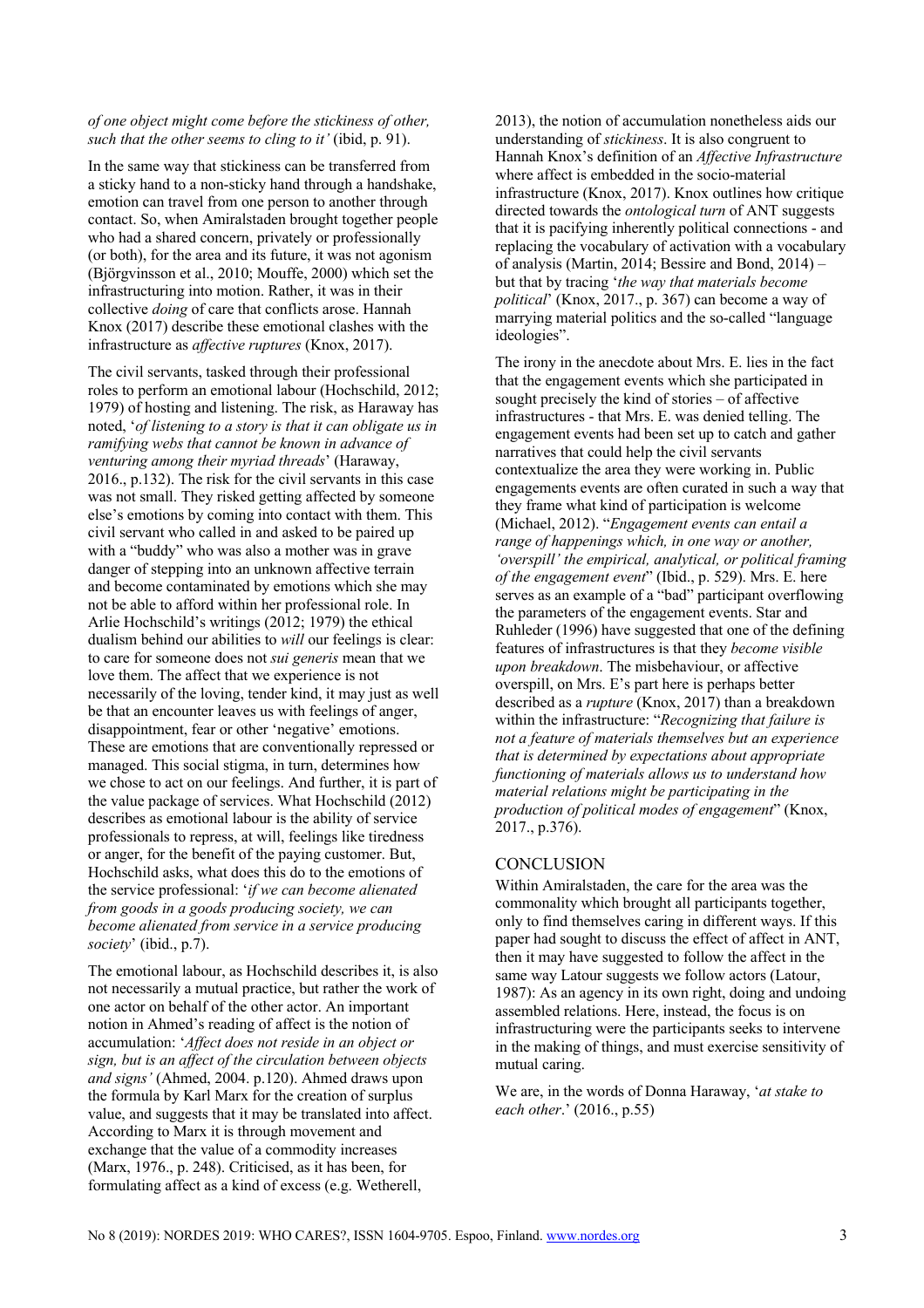#### *of one object might come before the stickiness of other, such that the other seems to cling to it'* (ibid, p. 91).

In the same way that stickiness can be transferred from a sticky hand to a non-sticky hand through a handshake, emotion can travel from one person to another through contact. So, when Amiralstaden brought together people who had a shared concern, privately or professionally (or both), for the area and its future, it was not agonism (Björgvinsson et al., 2010; Mouffe, 2000) which set the infrastructuring into motion. Rather, it was in their collective *doing* of care that conflicts arose. Hannah Knox (2017) describe these emotional clashes with the infrastructure as *affective ruptures* (Knox, 2017).

The civil servants, tasked through their professional roles to perform an emotional labour (Hochschild, 2012; 1979) of hosting and listening. The risk, as Haraway has noted, '*of listening to a story is that it can obligate us in ramifying webs that cannot be known in advance of venturing among their myriad threads*' (Haraway, 2016., p.132). The risk for the civil servants in this case was not small. They risked getting affected by someone else's emotions by coming into contact with them. This civil servant who called in and asked to be paired up with a "buddy" who was also a mother was in grave danger of stepping into an unknown affective terrain and become contaminated by emotions which she may not be able to afford within her professional role. In Arlie Hochschild's writings (2012; 1979) the ethical dualism behind our abilities to *will* our feelings is clear: to care for someone does not *sui generis* mean that we love them. The affect that we experience is not necessarily of the loving, tender kind, it may just as well be that an encounter leaves us with feelings of anger, disappointment, fear or other 'negative' emotions. These are emotions that are conventionally repressed or managed. This social stigma, in turn, determines how we chose to act on our feelings. And further, it is part of the value package of services. What Hochschild (2012) describes as emotional labour is the ability of service professionals to repress, at will, feelings like tiredness or anger, for the benefit of the paying customer. But, Hochschild asks, what does this do to the emotions of the service professional: '*if we can become alienated from goods in a goods producing society, we can become alienated from service in a service producing society*' (ibid., p.7).

The emotional labour, as Hochschild describes it, is also not necessarily a mutual practice, but rather the work of one actor on behalf of the other actor. An important notion in Ahmed's reading of affect is the notion of accumulation: '*Affect does not reside in an object or sign, but is an affect of the circulation between objects and signs'* (Ahmed, 2004. p.120). Ahmed draws upon the formula by Karl Marx for the creation of surplus value, and suggests that it may be translated into affect. According to Marx it is through movement and exchange that the value of a commodity increases (Marx, 1976., p. 248). Criticised, as it has been, for formulating affect as a kind of excess (e.g. Wetherell,

2013), the notion of accumulation nonetheless aids our understanding of *stickiness*. It is also congruent to Hannah Knox's definition of an *Affective Infrastructure* where affect is embedded in the socio-material infrastructure (Knox, 2017). Knox outlines how critique directed towards the *ontological turn* of ANT suggests that it is pacifying inherently political connections - and replacing the vocabulary of activation with a vocabulary of analysis (Martin, 2014; Bessire and Bond, 2014) – but that by tracing '*the way that materials become political*' (Knox, 2017., p. 367) can become a way of marrying material politics and the so-called "language ideologies".

The irony in the anecdote about Mrs. E. lies in the fact that the engagement events which she participated in sought precisely the kind of stories – of affective infrastructures - that Mrs. E. was denied telling. The engagement events had been set up to catch and gather narratives that could help the civil servants contextualize the area they were working in. Public engagements events are often curated in such a way that they frame what kind of participation is welcome (Michael, 2012). "*Engagement events can entail a range of happenings which, in one way or another, 'overspill' the empirical, analytical, or political framing of the engagement event*" (Ibid., p. 529). Mrs. E. here serves as an example of a "bad" participant overflowing the parameters of the engagement events. Star and Ruhleder (1996) have suggested that one of the defining features of infrastructures is that they *become visible upon breakdown*. The misbehaviour, or affective overspill, on Mrs. E's part here is perhaps better described as a *rupture* (Knox, 2017) than a breakdown within the infrastructure: "*Recognizing that failure is not a feature of materials themselves but an experience that is determined by expectations about appropriate functioning of materials allows us to understand how material relations might be participating in the production of political modes of engagement*" (Knox, 2017., p.376).

## **CONCLUSION**

Within Amiralstaden, the care for the area was the commonality which brought all participants together, only to find themselves caring in different ways. If this paper had sought to discuss the effect of affect in ANT, then it may have suggested to follow the affect in the same way Latour suggests we follow actors (Latour, 1987): As an agency in its own right, doing and undoing assembled relations. Here, instead, the focus is on infrastructuring were the participants seeks to intervene in the making of things, and must exercise sensitivity of mutual caring.

We are, in the words of Donna Haraway, '*at stake to each other*.' (2016., p.55)